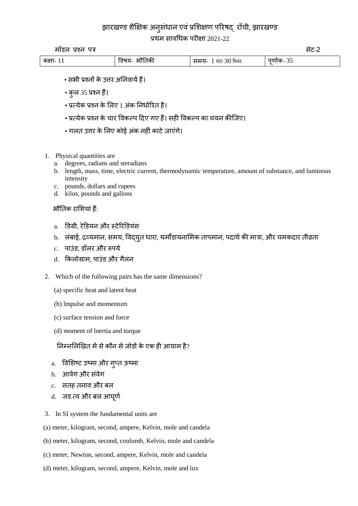# झारखण्ड शैक्षिक अनुसंधान एवं प्रशिक्षण परिषद् राँची, झारखण्ड

प्रथम सावधिक परीक्षा 2021-22

मॉडल प्रश्न पत्र सेट-2

| कक्षा-<br>$\mathbf{w}$<br>П<br>ਬਟ<br>1∪<br>म्मन∈<br>нđ<br>.<br>. .<br>$\ddot{\phantom{1}}$ | $\sim$ |
|--------------------------------------------------------------------------------------------|--------|

- सभी प्रश्नों के उत्तर अतनवाययहैं।
- कुल 35 प्रश्न हैं।
- प्रत्येक प्रश्न के लिए 1 अंक निर्धारित है।
- प्रत्येक प्रश्न के चार ववकल्प दिए गए हैं। सही ववकल्प का चयन कीजिए।
- गलत उत्तर के लिए कोई अंक नहीं काटे जाएंगे।
- 1. Physical quantities are
	- a. degrees, radians and steradians
	- b. length, mass, time, electric current, thermodynamic temperature, amount of substance, and luminous intensity
	- c. pounds, dollars and rupees
	- d. kilos, pounds and gallons

## भौतिक राशशयांहैं:

- a. डडग्री, रेडडयन और स्टेररडडयंस
- b. लंबाई, द्रव्यमान, समय, विद्युत धारा, थर्मोडायनामिक तापमान, पदार्थ की मात्रा, और चमकदार तीव्रता
- $c$  पाउंड, डॉलर और रुपये
- d. किलोग्राम, पाउंड और गैलन
- 2. Which of the following pairs has the same dimensions?
	- (a) specific heat and latent heat
	- (b) lmpulse and momentum
	- (c) surface tension and force
	- (d) moment of lnertia and torque

## निम्नलिखित में से कौन से जोडों के एक ही आयाम है?

- a. विशिष्ट उष्मा और गुप्त ऊष्मा
- b. आवेग और संवेग
- c. सतह तनाव और बल
- d. जड.त्व और बल आघूर्ण
- 3. In SI system the fundamental units are
- (a) meter, kilogram, second, ampere, Kelvin, mole and candela
- (b) meter, kilogram, second, coulomb, Kelvin, mole and candela
- (c) meter, Newton, second, ampere, Kelvin, mole and candela
- (d) meter, kilogram, second, ampere, Kelvin, mole and lux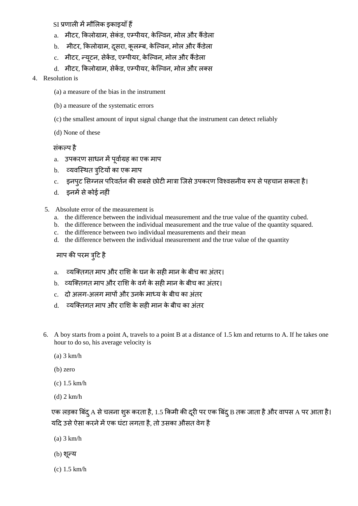## SI प्रणाली में मौलिक इकाइयाँ हैं

- a. मीटर, किलोग्राम, सेकंड, एम्पीयर, केल्विन, मोल और कैंडेला
- b. मीटर, किलोग्राम, दूसरा, कूलम्ब, केल्विन, मोल और कैंडेला
- c. मीटर, न्यटन, सेकेंड, एम्पीयर, केल्विन, मोल और कैंडेला
- d. मीटर, किलोग्राम, सेकेंड, एम्पीयर, केल्विन, मोल और लक्स

## 4. Resolution is

- (a) a measure of the bias in the instrument
- (b) a measure of the systematic errors
- (c) the smallest amount of input signal change that the instrument can detect reliably
- (d) None of these

## संकल्प है

- a. उपकरण साधन में पूर्वाग्रह का एक माप
- b. व्यवस्थित त्र्टियों का एक माप
- c. इनपुट सिग्नल परिवर्तन की सबसे छोटी मात्रा जिसे उपकरण विश्वसनीय रूप से पहचान सकता है।
- d. इनमें से कोई नहीं
- 5. Absolute error of the measurement is
	- a. the difference between the individual measurement and the true value of the quantity cubed.
	- b. the difference between the individual measurement and the true value of the quantity squared.
	- c. the difference between two individual measurements and their mean
	- d. the difference between the individual measurement and the true value of the quantity

# माप की परम त्रूटि है

- a. व्यक्तिगत माप और राशि के घन के सही मान के बीच का अंतर।
- b. व्यक्तिगत माप और राशि के वर्ग के सही मान के बीच का अंतर।
- c. ) दो अलग-अलग मापों और उनके माध्य के बीच का अंतर
- d. व्यक्तिगत माप और राशि के सही मान के बीच का अंतर
- 6. A boy starts from a point A, travels to a point B at a distance of 1.5 km and returns to A. If he takes one hour to do so, his average velocity is
	- (a) 3 km/h
	- (b) zero
	- (c) 1.5 km/h
	- (d) 2 km/h

एक लड़का बिंदू A से चलना शुरू करता है, 1.5 किमी की दूरी पर एक बिंदू B तक जाता है और वापस A पर आता है। यदि उसे ऐसा करने में एक घंटा लगता है, तो उसका औसत वेग है

- (a) 3 km/h
- $(b)$  शून्य
- (c) 1.5 km/h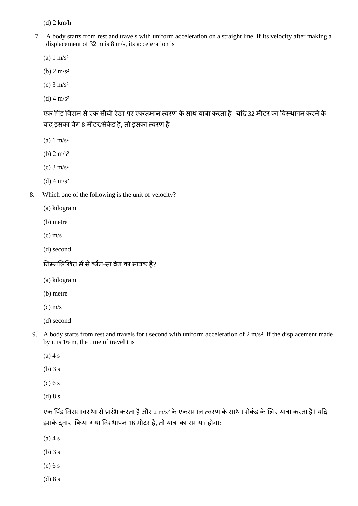(d) 2 km/h

- 7. A body starts from rest and travels with uniform acceleration on a straight line. If its velocity after making a displacement of 32 m is 8 m/s, its acceleration is
	- (a)  $1 \text{ m/s}^2$
	- (b)  $2 \text{ m/s}^2$
	- (c)  $3 \text{ m/s}^2$
	- (d) 4  $\text{m/s}^2$

एक पिंड विराम से एक सीधी रेखा पर एकसमान त्वरण के साथ यात्रा करता है। यदि 32 मीटर का विस्थापन करने के बाद इसका वेग 8 मीटर/सेकेंड है. तो इसका त्वरण है

- (a)  $1 \text{ m/s}^2$
- (b)  $2 \text{ m/s}^2$
- (c)  $3 \text{ m/s}^2$
- (d) 4  $\text{m/s}^2$
- 8. Which one of the following is the unit of velocity?
	- (a) kilogram
	- (b) metre
	- (c) m/s
	- (d) second

निम्नलिखित में से कौन-सा वेग का मात्रक है?

- (a) kilogram
- (b) metre
- $(c)$  m/s
- (d) second
- 9. A body starts from rest and travels for t second with uniform acceleration of 2 m/s². If the displacement made by it is 16 m, the time of travel t is
	- $(a)$  4 s
	- (b) 3 s
	- $(c) 6 s$
	- (d) 8 s

एक पिंड विरामावस्था से प्रारंभ करता है और 2 m/s<sup>2</sup> के एकसमान त्वरण के साथ t सेकंड के लिए यात्रा करता है। यदि इसके दवारा किया गया विस्थापन 16 मीटर है, तो यात्रा का समय t होगा:

- $(a)$  4 s
- (b) 3 s
- (c) 6 s
- (d) 8 s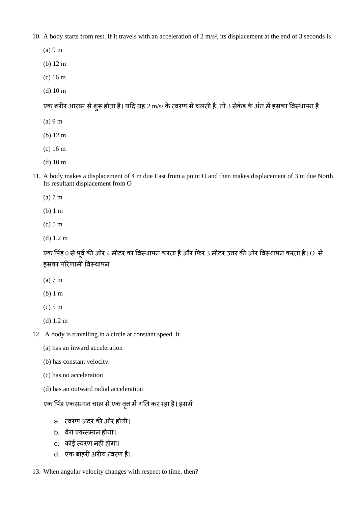10. A body starts from rest. If it travels with an acceleration of 2 m/s², its displacement at the end of 3 seconds is

- (a) 9 m
- (b) 12 m
- (c) 16 m
- (d) 10 m

एक शरीर आराम से शुरू होता है। यदि यह 2 m/s<sup>2</sup> के त्वरण से चलती है, तो 3 सेकंड के अंत में इसका विस्थापन है

- (a) 9 m
- (b) 12 m
- (c) 16 m
- (d) 10 m
- 11. A body makes a displacement of 4 m due East from a point O and then makes displacement of 3 m due North. Its resultant displacement from O
	- (a) 7 m
	- (b) 1 m
	- (c) 5 m
	- (d) 1.2 m

एक पिंड 0 से पूर्व की ओर 4 मीटर का विस्थापन करता है और फिर 3 मीटर उत्तर की ओर विस्थापन करता है। O से इसका पररणामी ववस्थापन

- (a) 7 m
- (b) 1 m
- (c) 5 m
- (d) 1.2 m
- 12. A body is travelling in a circle at constant speed. It
	- (a) has an inward acceleration
	- (b) has constant velocity.
	- (c) has no acceleration
	- (d) has an outward radial acceleration

## एक पिंड एकसमान चाल से एक वृत्त में गति कर रहा है। इसमें

- a. त्वरण अंदर की ओर होगी।
- b. वेग एकसमान होगा।
- c. कोई त्वरण नहींहोगा।
- d. एक बाहरी अरीय त्वरण है।
- 13. When angular velocity changes with respect to time, then?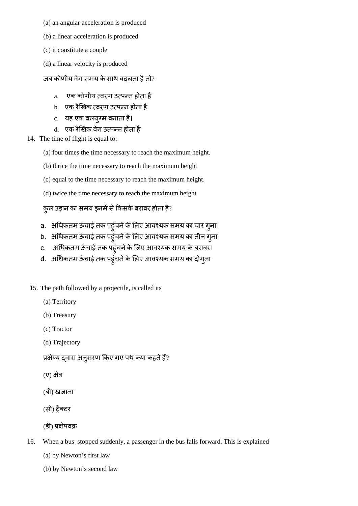- (a) an angular acceleration is produced
- (b) a linear acceleration is produced
- (c) it constitute a couple
- (d) a linear velocity is produced

## जब कोणीय वेग समय के साथ बदलता है तो?

- a. एक कोणीय त्वरण उत्पन्न होता है
- b. एक रैखिक त्वरण उत्पन्न होता है
- c. यह एक बलयुग्म बनाता है।
- d. एक रैखिक वेग उत्पन्न होता है
- 14. The time of flight is equal to:
	- (a) four times the time necessary to reach the maximum height.
	- (b) thrice the time necessary to reach the maximum height
	- (c) equal to the time necessary to reach the maximum height.
	- (d) twice the time necessary to reach the maximum height

# कुल उड़ान का समय इनमें से किसके बराबर होता है?

- a. अधिकतम ऊंचाई तक पहुंचने के लिए आवश्यक समय का चार गुना।
- b. अधिकतम ऊंचाई तक पहुंचने के लिए आवश्यक समय का तीन गुना
- c. अधिकतम ऊंचाई तक पहुंचने के लिए आवश्यक समय के बराबर।
- d. अधिकतम ऊंचाई तक पहुंचने के लिए आवश्यक समय का दोगुना
- 15. The path followed by a projectile, is called its
	- (a) Territory
	- (b) Treasury
	- (c) Tractor
	- (d) Trajectory

प्रक्षेप्य दवारा अनुसरण किए गए पथ क्या कहते हैं?

- (ए) क्षेत्र
- (बी) खिाना
- (सी) ट्रैक्टर
- (डी) प्रिेपवक्र
- 16. When a bus stopped suddenly, a passenger in the bus falls forward. This is explained
	- (a) by Newton's first law
	- (b) by Newton's second law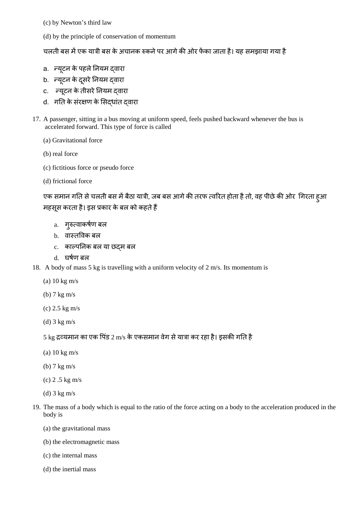- (c) by Newton's third law
- (d) by the principle of conservation of momentum

चलती बस में एक यात्री बस के अचानक रुकने पर आगे की ओर फेंका जाता है। यह समझाया गया है

- a. न्यूटन के पहले नियम दवारा
- b. न्यूटन के दूसरे नियम दवारा
- c. न्यूटन के तीसरे नियम दवारा
- d. गति के संरक्षण के सिद्धांत दवारा
- 17. A passenger, sitting in a bus moving at uniform speed, feels pushed backward whenever the bus is accelerated forward. This type of force is called
	- (a) Gravitational force
	- (b) real force
	- (c) fictitious force or pseudo force
	- (d) frictional force

एक समान गति से चलती बस में बैठा यात्री, जब बस आगे की तरफ त्वरित होता है तो, वह पीछे की ओर गिरता हुआ महसूस करता है। इस प्रकार के बल को कहते हैं

- a. गुरुत्वाकर्षण बल
- b. वास्तविक बल
- c. काल्पतनक बल या छद्म बल
- d. घषयण बल
- 18. A body of mass 5 kg is travelling with a uniform velocity of 2 m/s. Its momentum is
	- (a) 10 kg m/s
	- (b) 7 kg m/s
	- (c) 2.5 kg m/s
	- (d) 3 kg m/s

### 5 kg द्रव्यमान का एक पिंड 2 m/s के एकसमान वेग से यात्रा कर रहा है। इसकी गति है

- (a) 10 kg m/s
- (b) 7 kg m/s
- (c) 2 .5 kg m/s
- (d) 3 kg m/s
- 19. The mass of a body which is equal to the ratio of the force acting on a body to the acceleration produced in the body is
	- (a) the gravitational mass
	- (b) the electromagnetic mass
	- (c) the internal mass
	- (d) the inertial mass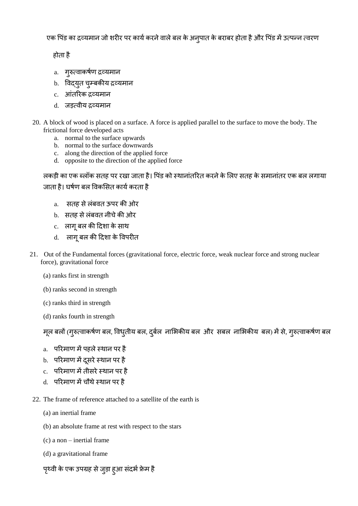एक पिंड का द्रव्यमान जो शरीर पर कार्य करने वाले बल के अन्पात के बराबर होता है और पिंड में उत्पन्न त्वरण

होता है

- a. गुरुत्वाकर्षण द्रव्यमान
- b. विद्**युत चुम्बकीय द्रव्यमा**न
- c. आंतरिक द्रव्यमान
- d. िड़त्वीय द्रव्यमान
- 20. A block of wood is placed on a surface. A force is applied parallel to the surface to move the body. The frictional force developed acts
	- a. normal to the surface upwards
	- b. normal to the surface downwards
	- c. along the direction of the applied force
	- d. opposite to the direction of the applied force

लकड़ी का एक ब्लॉक सतह पर रखा जाता है। पिंड को स्थानांतरित करने के लिए सतह के समानांतर एक बल लगाया जाता है। घर्षण बल विकसित कार्य करता है

- a. सतह से लंबवत ऊपर की ओर
- b. सतह से लंबवत नीचे की ओर
- c. लागूबल की दिशा के साथ
- d. लागू बल की दिशा के विपरीत
- 21. Out of the Fundamental forces (gravitational force, electric force, weak nuclear force and strong nuclear force), gravitational force
	- (a) ranks first in strength
	- (b) ranks second in strength
	- (c) ranks third in strength
	- (d) ranks fourth in strength

मूल बलों (गुरुत्वाकर्षण बल, विधृतीय बल, दुर्बल नाभिकीय बल और सबल नाभिकीय बल) में से, गुरुत्वाकर्षण बल

- a. परिमाण में पहले स्थान पर है
- b. परिमाण में दसरे स्थान पर है
- c. परिमाण में तीसरे स्थान पर है
- d. पररमाण मेंचौथेस्थान पर है
- 22. The frame of reference attached to a satellite of the earth is
	- (a) an inertial frame
	- (b) an absolute frame at rest with respect to the stars
	- (c) a non inertial frame
	- (d) a gravitational frame
	- पृथ्वी के एक उपग्रह से जुड़ा हुआ संदर्भ फ्रेम है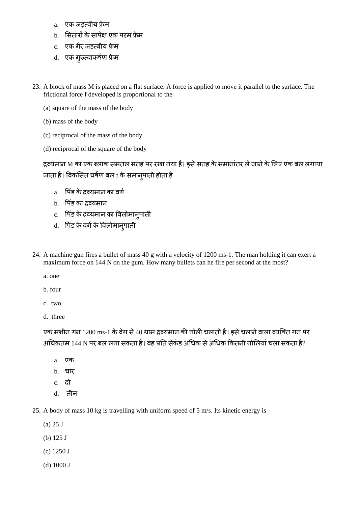- a. एक जडत्वीय फ्रेम
- b. सितारों के सापेक्ष एक परम फ्रेम
- c. एक गैर जड़त्वीय फ्रेम
- d. एक गुरुत्वाकर्षण फ्रेम
- 23. A block of mass M is placed on a flat surface. A force is applied to move it parallel to the surface. The frictional force f developed is proportional to the
	- (a) square of the mass of the body
	- (b) mass of the body
	- (c) reciprocal of the mass of the body
	- (d) reciprocal of the square of the body

द्रव्यमान M का एक ब्लाक समतल सतह पर रखा गया है। इसे सतह के समानांतर ले जाने के लिए एक बल लगाया जाता है। विकसित घर्षण बल f के समान्**पाती होता** है

- a. पिंड के द्रव्यमान का वर्ग
- b. पिंड का द्रव्यमान
- c. पिंड के द्रव्यमान का विलोमान्**पाती**
- d. पिंड के वर्ग के विलोमान्**पाती**
- 24. A machine gun fires a bullet of mass 40 g with a velocity of 1200 ms-1. The man holding it can exert a maximum force on 144 N on the gum. How many bullets can he fire per second at the most?
	- a. one
	- b. four
	- c. two
	- d. three

एक मशीन गन 1200 ms-1 के वेग से 40 ग्राम द्रव्यमान की गोली चलाती है। इसे चलाने वाला व्यक्ति गन पर अधिकतम 144 N पर बल लगा सकता है। वह प्रति सेकंड अधिक से अधिक कितनी गोलियां चला सकता है?

- a. एक
- b. चार
- c. िो
- d. िीन
- 25. A body of mass 10 kg is travelling with uniform speed of 5 m/s. Its kinetic energy is
	- (a) 25 J
	- (b) 125 J
	- (c) 1250 J
	- (d) 1000 J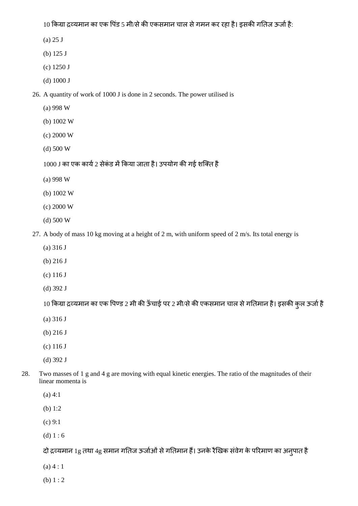10 किग्रा द्रव्यमान का एक पिंड 5 मी/से की एकसमान चाल से गमन कर रहा है। इसकी गतिज ऊर्जा है:

- (a) 25 J
- (b) 125 J
- (c) 1250 J
- (d) 1000 J
- 26. A quantity of work of 1000 J is done in 2 seconds. The power utilised is
	- (a) 998 W
	- (b) 1002 W
	- (c) 2000 W
	- (d) 500 W
	- $1000$  J का एक कार्य 2 सेकंड में किया जाता है। उपयोग की गई शक्ति है
	- (a) 998 W
	- (b) 1002 W
	- (c) 2000 W
	- (d) 500 W
- 27. A body of mass 10 kg moving at a height of 2 m, with uniform speed of 2 m/s. Its total energy is
	- (a) 316 J
	- (b) 216 J
	- (c) 116 J
	- (d) 392 J
	- 10 किग्रा द्रव्यमान का एक पिण्ड 2 मी की ऊँचाई पर 2 मी/से की एकसमान चाल से गतिमान है। इसकी कुल ऊर्जा है
	- (a) 316 J
	- (b) 216 J
	- (c) 116 J
	- (d) 392 J
- 28. Two masses of 1 g and 4 g are moving with equal kinetic energies. The ratio of the magnitudes of their linear momenta is
	- (a) 4:1
	- (b) 1:2
	- (c) 9:1
	- (d)  $1:6$

दो द्रव्यमान 1g तथा 4g समान गतिज ऊर्जाओं से गतिमान हैं। उनके रैखिक संवेग के परिमाण का अन्पात है

- $(a) 4 : 1$
- (b)  $1:2$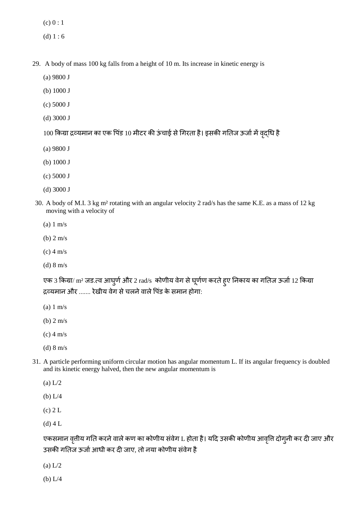$(c) 0 : 1$ 

- (d)  $1:6$
- 29. A body of mass 100 kg falls from a height of 10 m. Its increase in kinetic energy is
	- (a) 9800 J
	- (b) 1000 J
	- (c) 5000 J
	- (d) 3000 J

100 किया द्रव्यमान का एक पिंड 10 मीटर की ऊंचाई से गिरता है। इसकी गतिज ऊर्जा में वृद्धि है

- (a) 9800 J
- (b) 1000 J
- (c) 5000 J
- (d) 3000 J
- 30. A body of M.I. 3 kg m² rotating with an angular velocity 2 rad/s has the same K.E. as a mass of 12 kg moving with a velocity of
	- (a) 1 m/s
	- (b) 2 m/s
	- (c) 4 m/s
	- (d) 8 m/s

एक 3 किग्रा/  $\text{m}^2$  जड.त्व आघुर्ण और 2  $\text{rad/s}\;$  कोणीय वेग से घूर्णण करते हुए निकाय का गतिज ऊर्जा 12 किग्रा द्रव्यमान और ....... रेखीय वेग से चलने वाले पिंड के समान होगा:

- (a) 1 m/s
- (b) 2 m/s
- (c) 4 m/s
- (d) 8 m/s
- 31. A particle performing uniform circular motion has angular momentum L. If its angular frequency is doubled and its kinetic energy halved, then the new angular momentum is
	- (a) L/2
	- (b) L/4
	- (c) 2 L
	- (d) 4 L

एकसमान वृत्तीय गति करने वाले कण का कोणीय संवेग L होता है। यदि उसकी कोणीय आवृत्ति दोग्नी कर दी जाए और उसकी गतिज ऊर्जा आधी कर दी जाए, तो नया कोणीय संवेग है

- (a) L/2
- (b) L/4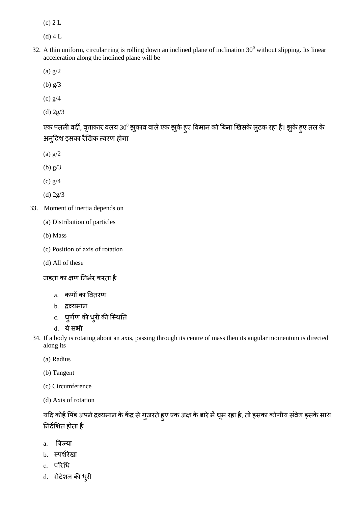(c) 2 L

(d) 4 L

- 32. A thin uniform, circular ring is rolling down an inclined plane of inclination  $30^{\circ}$  without slipping. Its linear acceleration along the inclined plane will be
	- (a) g/2
	- (b) g/3
	- (c) g/4
	- (d) 2g/3

एक पतली वर्दी, वृत्ताकार वलय 30º झुकाव वाले एक झुके हुए विमान को बिना खिसके लुढ़क रहा है। झुके हुए तल के अनदुिश इसका रैखखक त्वरण होगा

- (a) g/2
- (b) g/3
- (c) g/4
- (d) 2g/3
- 33. Moment of inertia depends on
	- (a) Distribution of particles
	- (b) Mass
	- (c) Position of axis of rotation
	- (d) All of these

जड़ता का क्षण निर्भर करता है

- a. कणों का वविरण
- b. द्रव्यमान
- c. घुर्णण की धुरी की स्थिति
- d. येसभी
- 34. If a body is rotating about an axis, passing through its centre of mass then its angular momentum is directed along its
	- (a) Radius
	- (b) Tangent
	- (c) Circumference
	- (d) Axis of rotation

यदि कोई पिंड अपने द्रव्यमान के केंद्र से गुजरते हुए एक अक्ष के बारे में घूम रहा है, तो इसका कोणीय संवेग इसके साथ निर्देशित होता है

- a. बत्रज्या
- b. स्पर्शरेखा
- c. परिधि
- d. रोटेशन की धुरी